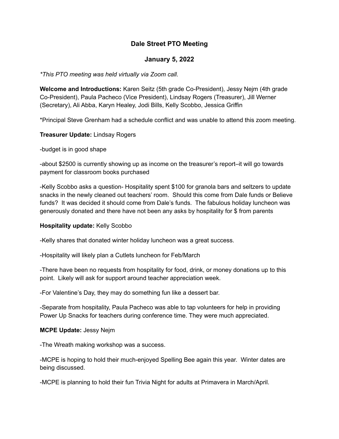# **Dale Street PTO Meeting**

## **January 5, 2022**

### *\*This PTO meeting was held virtually via Zoom call.*

**Welcome and Introductions:** Karen Seitz (5th grade Co-President), Jessy Nejm (4th grade Co-President), Paula Pacheco (Vice President), Lindsay Rogers (Treasurer), Jill Werner (Secretary), Ali Abba, Karyn Healey, Jodi Bills, Kelly Scobbo, Jessica Griffin

\*Principal Steve Grenham had a schedule conflict and was unable to attend this zoom meeting.

**Treasurer Update:** Lindsay Rogers

-budget is in good shape

-about \$2500 is currently showing up as income on the treasurer's report–it will go towards payment for classroom books purchased

-Kelly Scobbo asks a question- Hospitality spent \$100 for granola bars and seltzers to update snacks in the newly cleaned out teachers' room. Should this come from Dale funds or Believe funds? It was decided it should come from Dale's funds. The fabulous holiday luncheon was generously donated and there have not been any asks by hospitality for \$ from parents

### **Hospitality update:** Kelly Scobbo

-Kelly shares that donated winter holiday luncheon was a great success.

-Hospitality will likely plan a Cutlets luncheon for Feb/March

-There have been no requests from hospitality for food, drink, or money donations up to this point. Likely will ask for support around teacher appreciation week.

-For Valentine's Day, they may do something fun like a dessert bar.

-Separate from hospitality, Paula Pacheco was able to tap volunteers for help in providing Power Up Snacks for teachers during conference time. They were much appreciated.

### **MCPE Update:** Jessy Nejm

-The Wreath making workshop was a success.

-MCPE is hoping to hold their much-enjoyed Spelling Bee again this year. Winter dates are being discussed.

-MCPE is planning to hold their fun Trivia Night for adults at Primavera in March/April.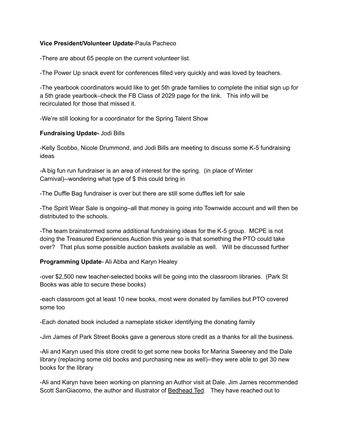### **Vice President/Volunteer Update**-Paula Pacheco

-There are about 65 people on the current volunteer list.

-The Power Up snack event for conferences filled very quickly and was loved by teachers.

-The yearbook coordinators would like to get 5th grade families to complete the initial sign up for a 5th grade yearbook–check the FB Class of 2029 page for the link. This info will be recirculated for those that missed it.

-We're still looking for a coordinator for the Spring Talent Show

#### **Fundraising Update-** Jodi Bills

-Kelly Scobbo, Nicole Drummond, and Jodi Bills are meeting to discuss some K-5 fundraising ideas

-A big fun run fundraiser is an area of interest for the spring. (in place of Winter Carnival)--wondering what type of \$ this could bring in

-The Duffle Bag fundraiser is over but there are still some duffles left for sale

-The Spirit Wear Sale is ongoing–all that money is going into Townwide account and will then be distributed to the schools.

-The team brainstormed some additional fundraising ideas for the K-5 group. MCPE is not doing the Treasured Experiences Auction this year so is that something the PTO could take over? That plus some possible auction baskets available as well. Will be discussed further

**Programming Update**- Ali Abba and Karyn Healey

-over \$2,500 new teacher-selected books will be going into the classroom libraries. (Park St Books was able to secure these books)

-each classroom got at least 10 new books, most were donated by families but PTO covered some too

-Each donated book included a nameplate sticker identifying the donating family

-Jim James of Park Street Books gave a generous store credit as a thanks for all the business.

-Ali and Karyn used this store credit to get some new books for Marina Sweeney and the Dale library (replacing some old books and purchasing new as well)--they were able to get 30 new books for the library

-Ali and Karyn have been working on planning an Author visit at Dale. Jim James recommended Scott SanGiacomo, the author and illustrator of Bedhead Ted. They have reached out to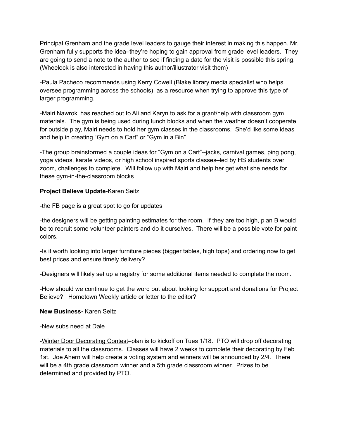Principal Grenham and the grade level leaders to gauge their interest in making this happen. Mr. Grenham fully supports the idea–they're hoping to gain approval from grade level leaders. They are going to send a note to the author to see if finding a date for the visit is possible this spring. (Wheelock is also interested in having this author/illustrator visit them)

-Paula Pacheco recommends using Kerry Cowell (Blake library media specialist who helps oversee programming across the schools) as a resource when trying to approve this type of larger programming.

-Mairi Nawroki has reached out to Ali and Karyn to ask for a grant/help with classroom gym materials. The gym is being used during lunch blocks and when the weather doesn't cooperate for outside play, Mairi needs to hold her gym classes in the classrooms. She'd like some ideas and help in creating "Gym on a Cart" or "Gym in a Bin"

-The group brainstormed a couple ideas for "Gym on a Cart"--jacks, carnival games, ping pong, yoga videos, karate videos, or high school inspired sports classes–led by HS students over zoom, challenges to complete. Will follow up with Mairi and help her get what she needs for these gym-in-the-classroom blocks

### **Project Believe Update**-Karen Seitz

-the FB page is a great spot to go for updates

-the designers will be getting painting estimates for the room. If they are too high, plan B would be to recruit some volunteer painters and do it ourselves. There will be a possible vote for paint colors.

-Is it worth looking into larger furniture pieces (bigger tables, high tops) and ordering now to get best prices and ensure timely delivery?

-Designers will likely set up a registry for some additional items needed to complete the room.

-How should we continue to get the word out about looking for support and donations for Project Believe? Hometown Weekly article or letter to the editor?

### **New Business-** Karen Seitz

-New subs need at Dale

-Winter Door Decorating Contest–plan is to kickoff on Tues 1/18. PTO will drop off decorating materials to all the classrooms. Classes will have 2 weeks to complete their decorating by Feb 1st. Joe Ahern will help create a voting system and winners will be announced by 2/4. There will be a 4th grade classroom winner and a 5th grade classroom winner. Prizes to be determined and provided by PTO.